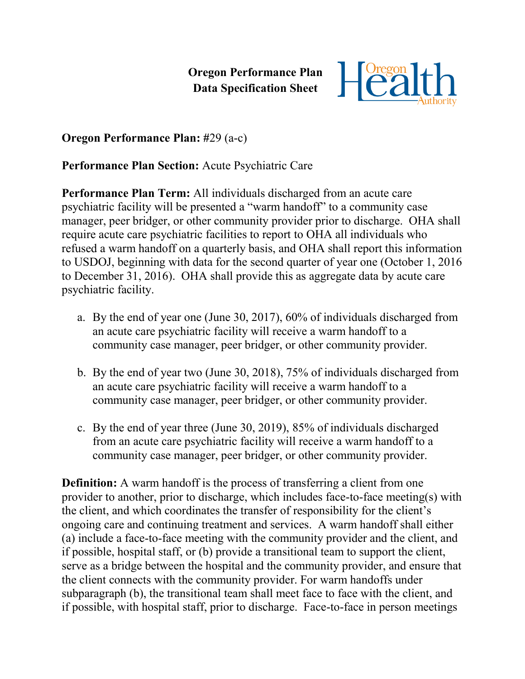**Oregon Performance Plan Data Specification Sheet**



**Oregon Performance Plan: #**29 (a-c)

**Performance Plan Section:** Acute Psychiatric Care

**Performance Plan Term:** All individuals discharged from an acute care psychiatric facility will be presented a "warm handoff" to a community case manager, peer bridger, or other community provider prior to discharge. OHA shall require acute care psychiatric facilities to report to OHA all individuals who refused a warm handoff on a quarterly basis, and OHA shall report this information to USDOJ, beginning with data for the second quarter of year one (October 1, 2016 to December 31, 2016). OHA shall provide this as aggregate data by acute care psychiatric facility.

- a. By the end of year one (June 30, 2017), 60% of individuals discharged from an acute care psychiatric facility will receive a warm handoff to a community case manager, peer bridger, or other community provider.
- b. By the end of year two (June 30, 2018), 75% of individuals discharged from an acute care psychiatric facility will receive a warm handoff to a community case manager, peer bridger, or other community provider.
- c. By the end of year three (June 30, 2019), 85% of individuals discharged from an acute care psychiatric facility will receive a warm handoff to a community case manager, peer bridger, or other community provider.

**Definition:** A warm handoff is the process of transferring a client from one provider to another, prior to discharge, which includes face-to-face meeting(s) with the client, and which coordinates the transfer of responsibility for the client's ongoing care and continuing treatment and services. A warm handoff shall either (a) include a face-to-face meeting with the community provider and the client, and if possible, hospital staff, or (b) provide a transitional team to support the client, serve as a bridge between the hospital and the community provider, and ensure that the client connects with the community provider. For warm handoffs under subparagraph (b), the transitional team shall meet face to face with the client, and if possible, with hospital staff, prior to discharge. Face-to-face in person meetings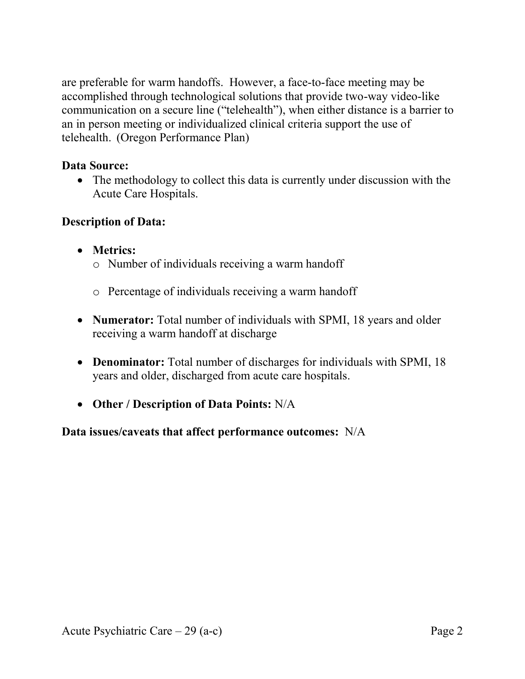are preferable for warm handoffs. However, a face-to-face meeting may be accomplished through technological solutions that provide two-way video-like communication on a secure line ("telehealth"), when either distance is a barrier to an in person meeting or individualized clinical criteria support the use of telehealth. (Oregon Performance Plan)

## **Data Source:**

• The methodology to collect this data is currently under discussion with the Acute Care Hospitals.

## **Description of Data:**

- **Metrics:**
	- o Number of individuals receiving a warm handoff
	- o Percentage of individuals receiving a warm handoff
- **Numerator:** Total number of individuals with SPMI, 18 years and older receiving a warm handoff at discharge
- **Denominator:** Total number of discharges for individuals with SPMI, 18 years and older, discharged from acute care hospitals.
- **Other / Description of Data Points:** N/A

**Data issues/caveats that affect performance outcomes:** N/A